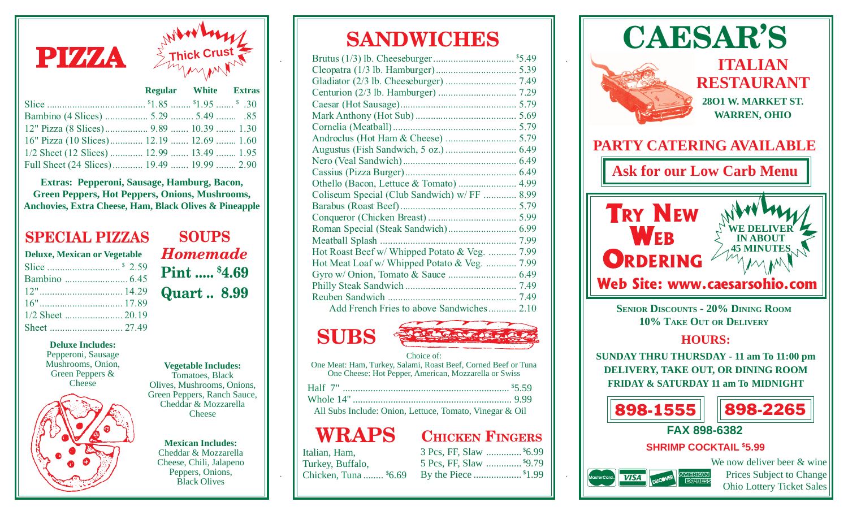

|                                           | Regular Willie Extras |  |
|-------------------------------------------|-----------------------|--|
|                                           |                       |  |
|                                           |                       |  |
| 12" Pizza (8 Slices) 9.89  10.39  1.30    |                       |  |
| 16" Pizza (10 Slices) 12.19  12.69  1.60  |                       |  |
| 1/2 Sheet (12 Slices)  12.99  13.49  1.95 |                       |  |
| Full Sheet (24 Slices) 19.49  19.99  2.90 |                       |  |

**Extras: Pepperoni, Sausage, Hamburg, Bacon, Green Peppers, Hot Peppers, Onions, Mushrooms, Anchovies, Extra Cheese, Ham, Black Olives & Pineapple**

#### **SPECIAL PIZZAS**

| <b>Deluxe, Mexican or Vegetable</b> |  |  |
|-------------------------------------|--|--|
|                                     |  |  |
|                                     |  |  |
|                                     |  |  |
|                                     |  |  |
|                                     |  |  |
|                                     |  |  |

**SOUPS** *Homemade* **Pint ..... \$4.69 Quart .. 8.99** .

**Deluxe Includes:** Pepperoni, Sausage

Mushrooms, Onion, Green Peppers & **Cheese** 



#### **Vegetable Includes:** Tomatoes, Black Olives, Mushrooms, Onions, Green Peppers, Ranch Sauce, Cheddar & Mozzarella

**Cheese** 

**Mexican Includes:** Cheddar & Mozzarella Cheese, Chili, Jalapeno Peppers, Onions, Black Olives

## **SANDWICHES**

| Coliseum Special (Club Sandwich) w/ FF  8.99  |  |
|-----------------------------------------------|--|
|                                               |  |
|                                               |  |
|                                               |  |
|                                               |  |
| Hot Roast Beef w/ Whipped Potato & Veg.  7.99 |  |
| Hot Meat Loaf w/ Whipped Potato & Veg.  7.99  |  |
|                                               |  |
|                                               |  |
|                                               |  |
| Add French Fries to above Sandwiches 2.10     |  |
|                                               |  |

# **SUBS**



Choice of: One Meat: Ham, Turkey, Salami, Roast Beef, Corned Beef or Tuna One Cheese: Hot Pepper, American, Mozzarella or Swiss

| Half 7" |  |
|---------|--|
|         |  |

All Subs Include: Onion, Lettuce, Tomato, Vinegar & Oil

### **WRAPS**

### **CHICKEN FINGERS**

5 Pcs, FF, Slaw .............. \$ 9.79 By the Piece ................... \$ 1.99

| Italian, Ham,         |  |
|-----------------------|--|
| Turkey, Buffalo,      |  |
| Chicken, Tuna  \$6.69 |  |

.